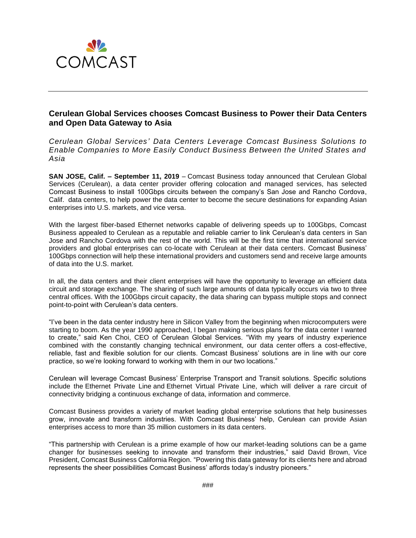

# **Cerulean Global Services chooses Comcast Business to Power their Data Centers and Open Data Gateway to Asia**

*Cerulean Global Services' Data Centers Leverage Comcast Business Solutions to Enable Companies to More Easily Conduct Business Between the United States and Asia* 

**SAN JOSE, Calif. – September 11, 2019** – Comcast Business today announced that Cerulean Global Services (Cerulean), a data center provider offering colocation and managed services, has selected Comcast Business to install 100Gbps circuits between the company's San Jose and Rancho Cordova, Calif. data centers, to help power the data center to become the secure destinations for expanding Asian enterprises into U.S. markets, and vice versa.

With the largest fiber-based Ethernet networks capable of delivering speeds up to 100Gbps, Comcast Business appealed to Cerulean as a reputable and reliable carrier to link Cerulean's data centers in San Jose and Rancho Cordova with the rest of the world. This will be the first time that international service providers and global enterprises can co-locate with Cerulean at their data centers. Comcast Business' 100Gbps connection will help these international providers and customers send and receive large amounts of data into the U.S. market.

In all, the data centers and their client enterprises will have the opportunity to leverage an efficient data circuit and storage exchange. The sharing of such large amounts of data typically occurs via two to three central offices. With the 100Gbps circuit capacity, the data sharing can bypass multiple stops and connect point-to-point with Cerulean's data centers.

"I've been in the data center industry here in Silicon Valley from the beginning when microcomputers were starting to boom. As the year 1990 approached, I began making serious plans for the data center I wanted to create," said Ken Choi, CEO of Cerulean Global Services. "With my years of industry experience combined with the constantly changing technical environment, our data center offers a cost-effective, reliable, fast and flexible solution for our clients. Comcast Business' solutions are in line with our core practice, so we're looking forward to working with them in our two locations."

Cerulean will leverage Comcast Business' Enterprise Transport and Transit solutions. Specific solutions include the [Ethernet Private Line](https://business.comcast.com/ethernet/private-line) and [Ethernet Virtual Private Line,](https://business.comcast.com/ethernet/virtual-private-line) which will deliver a rare circuit of connectivity bridging a continuous exchange of data, information and commerce.

Comcast Business provides a variety of market leading global enterprise solutions that help businesses grow, innovate and transform industries. With Comcast Business' help, Cerulean can provide Asian enterprises access to more than 35 million customers in its data centers.

"This partnership with Cerulean is a prime example of how our market-leading solutions can be a game changer for businesses seeking to innovate and transform their industries," said David Brown, Vice President, Comcast Business California Region. "Powering this data gateway for its clients here and abroad represents the sheer possibilities Comcast Business' affords today's industry pioneers."